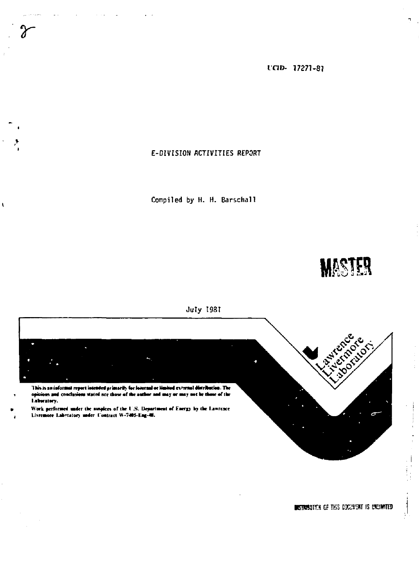**IC1D- 17271-8J** 

# **E-DIVISION ACTIVITIES REPORT**

**r** 

 $\mathbf{I}$ 

**Compiled by H. H. Barschall** 

**MASTER** 



**RIGINARION OF THIS DOCUMENT IS UNLIMITED** 

 $\overline{\phantom{a}}$ 

 $\frac{1}{2}$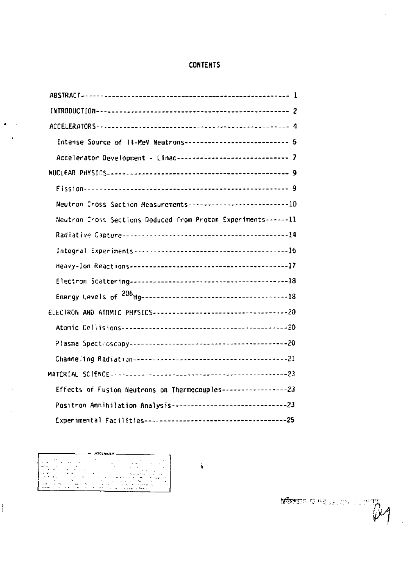# **CONTENTS**

| Intense Source of 14-MeV Neutrons---------------------------- 5   |
|-------------------------------------------------------------------|
| Accelerator Development - Linac------------------------------ 7   |
|                                                                   |
|                                                                   |
| Neutron Cross Section Measurements-----------------------------10 |
| Neutron Cross Sections Deduced from Proton Experiments------11    |
|                                                                   |
|                                                                   |
|                                                                   |
|                                                                   |
|                                                                   |
|                                                                   |
|                                                                   |
|                                                                   |
|                                                                   |
|                                                                   |
| Effects of Fusion Neutrons on Thermocouples -------------------23 |
|                                                                   |
|                                                                   |

 $\ddot{\phantom{a}}$ 

 $\mathbb{R}$ Ŀ.

 $\bar{z}$ 

×

 $\ddot{\ddot{i}}$ 

 $\begin{picture}(20,10) \put(0,0){\vector(0,1){100}} \put(15,0){\vector(0,1){100}} \put(15,0){\vector(0,1){100}} \put(15,0){\vector(0,1){100}} \put(15,0){\vector(0,1){100}} \put(15,0){\vector(0,1){100}} \put(15,0){\vector(0,1){100}} \put(15,0){\vector(0,1){100}} \put(15,0){\vector(0,1){100}} \put(15,0){\vector(0,1){100}} \put(15,0){\vector(0,1){100}} \$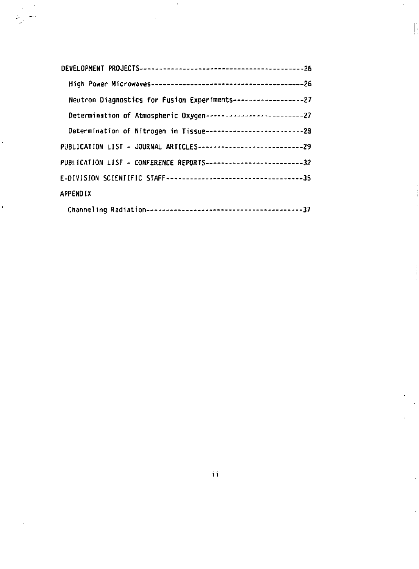| Neutron Diagnostics for Fusion Experiments------------------27       |  |
|----------------------------------------------------------------------|--|
| Determination of Atmospheric Oxygen-------------------------------27 |  |
| Determination of Nitrogen in Tissue------------------------------28  |  |
| PUBLICATION LIST - JOURNAL ARTICLES----------------------------29    |  |
| PUBLICATION LIST - CONFERENCE REPORTS--------------------------32    |  |
|                                                                      |  |
| APPENDIX                                                             |  |
|                                                                      |  |

ľ

÷.

ц.

Ń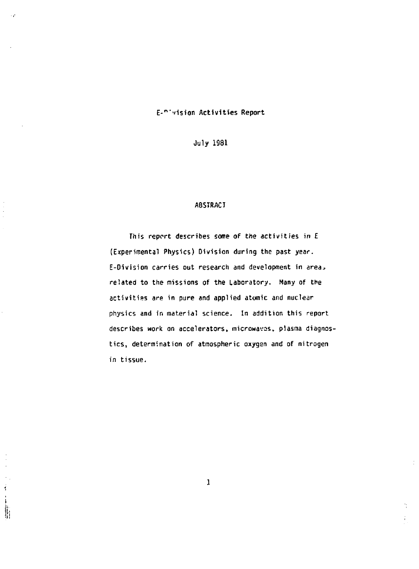## **E-"-,'ision Activities Report**

**July 1981** 

### **A8SIRACT**

**This report describes some of the activities in E (Experimental Physics) Division during the past year. E-Division carries out research and development in** *area\**  **related to the missions of the Laboratory. Many of the activities are in pure and applied atomic and nuclear physics and in material science. In addition this report describes work on accelerators, microwavas, plasma diagnostics, determination of atmospheric oxygen and of nitrogen in tissue.** 

**1** 

ħ.

 $\frac{1}{2}$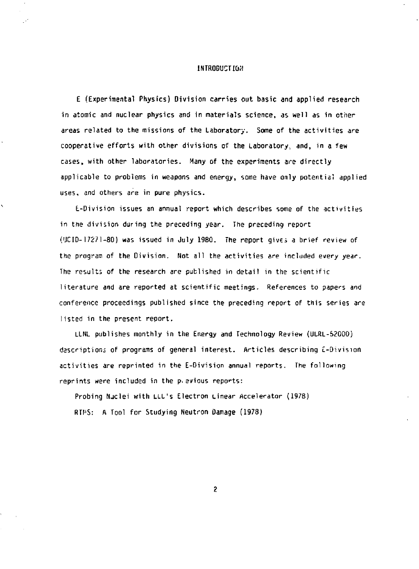#### **INTRODUCTION**

**E (Experimental Physics) Division carries out basic and applied research in atomic and nuclear physics and in materials science, as well as in other areas related to the missions of the Laboratory. Some of the activities** *are*  **cooperative efforts with other divisions of the Laboratory, and, in a few cases, with other laboratories. Many of the experiments are directly applicable to problems in weapons and energy, some have only potential applied uses, and others are in pure physics.** 

**E-Division issues an annual report which describes some of the activities in the division during the preceding year. The preceding report (UCID-17271-80) was issued in July 1980. The report gives a brief review of the program of the Division. Not all the activities are included** *every* **year. The results of the research are published in detail in the scientific literature and are reported at scientific meetings. References to papers and conference proceedings published since the preceding report of this series are listed in the present report,** 

**LLNL publishes monthly in the Energy and Technology Review (ULRL-S2000) descriptions of programs of general interest. Articles describing E-Division activities are reprinted in the E-Division annual reports. The following reprints were included in the p. evious reports:** 

**Probing Njclei with LLL's Electron Linear Accelerator (1978) RTI'S: A Tool for Studying Neutron Damage (1978)**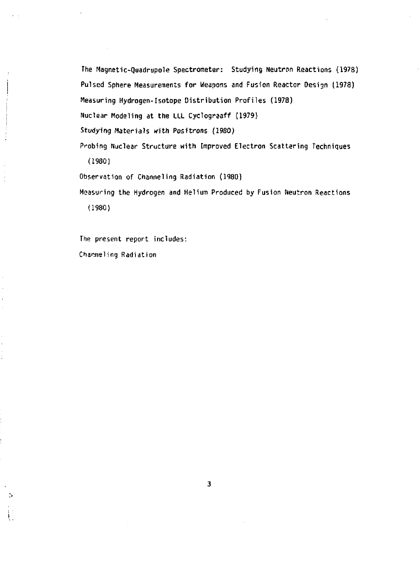**The Magnetic-Quadrupole Spectrometer: Studying Neutron Reactions (1978) Pulsed Sphere Measurements for Weapons and Fusion Reactor Design (1978) Measuring Hydrogen-Isotope Distribution Profiles (1978) Nuclear Modeling at the ILL Cyclograaff (1979)**  *Studying* **Materials with Positrons (1980) Probing Nuclear Structure with Improved Electron Scattering Techniques (1980) Observation of Channeling Radiation (1980)** 

**Measuring the Hydrogen and Helium Produced by Fusion Neutron Reactions (1980)** 

The present report includes: Channeling Radiation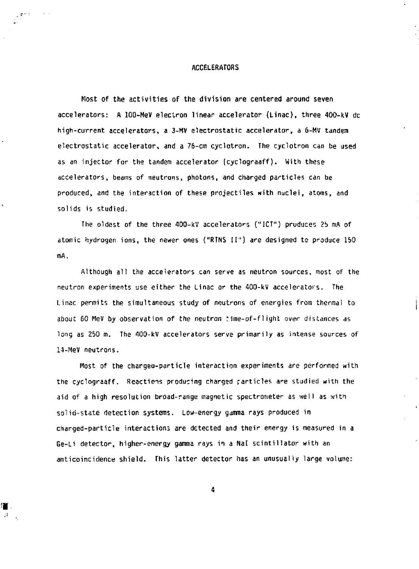#### **ACCELERATORS**

**Most of the activities of the division are centered around seven**  accelerators: A 100-MeV electron linear accelerator (Linac), three 400-kV dc **high-current accelerators, a 3-MV electrostatic accelerator, a &-MV tandem electrostatic accelerator, and a 76-cm cyclotron. The cyclotron can be used as an injector for the tandem accelerator (cyclograaff). With these accelerators, beams of neutrons, photons, and charged particles can he produced, and the interaction of these projectiles with nuclei, atoms, and solids is studied,** 

**The oldest of the three 400-kV accelerators ("ICT") produces** *2b* **mA of atomic hydrogen ions, the newer ones ("RTNS II") are designed to produce 150 mA.** 

**Although all the accelerators can serve as neutron sources, most of the neutron experiments use either the Linac or the 400-kV accelerators. The Linac permits the simultaneous study of neutrons of energies from thermal to about 60 MeV by observation of the neutron time-of-f1ight over distances as long as 250** *m.* **The 400-kV accelerators serve primarily as intense sources of 14-Mev neutrons.** 

**Most of the chargea-particle interaction experiments are performed with**  the cyclograaff. Reactions producing charged particles are studied with the **aid of a high resolution broad-range magnetic spectrometer as well as with solid-state detection systems. Low-energy gamma rays produced in charged-particle interactions are detected and their energy is measured in a Ge-Li detector, higher-energy gamma rays in a Nal scintillator with an anticoincidence shield. This latter detector has an unusually large volume:**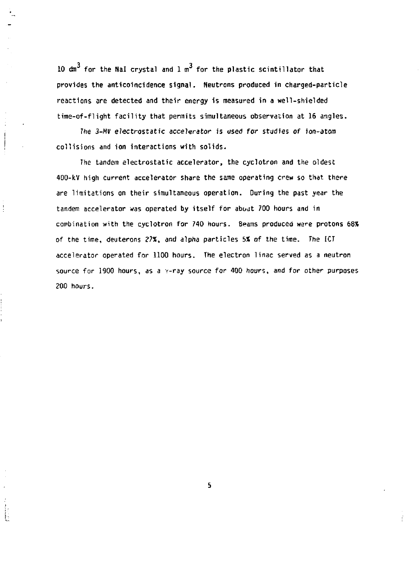10  $\text{dm}^3$  for the Nal crystal and  $1 \text{ m}^3$  for the plastic scintillator that **provides the anticoincidence signal. Neutrons produced in charged-particle reactions are detected and their energy is measured in a well-shielded time-of-flight facility that permits simultaneous observation at 16 angles.** 

*The 3-HV electrostatic accelerator* **is used for studies of ion-atom collisions and ion interactions with solids.** 

**The tandem electrostatic accelerator, the cyclotron and the oldest 400-kV high current accelerator share the same operating crew so that there are limitations on their simultaneous operation. During the past year the tandem accelerator was operated by itself for about 700 hours and in combination with the cyclotron for 740 hours. Beams produced were protons 68%**  of the time, deuterons 27%, and alpha particles 5% of the time. The ICT **accelerator operated for 1100 hours. The electron linac served as a neutron source for 1500 hours, as a y-ray source for 400 hours, and for other purposes 200 hours.**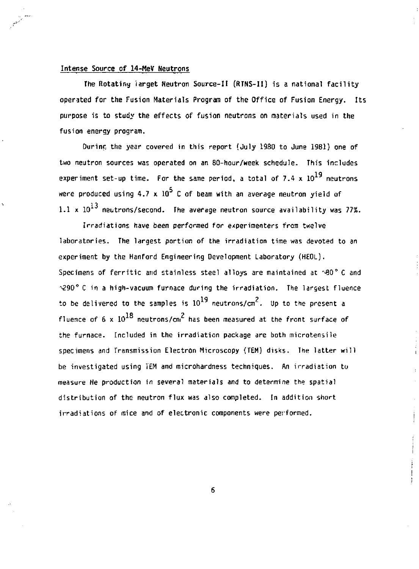## **Intense Source of 14-MeV Neutrons**

**The Rotating iarget Neutron Source-It (RTNS-II) is a national facility operated for the Fusion Materials Program of the Office of Fusion Energy. Its purpose is to study the effects of fusion neutrons on materials used in the fusion energy program.** 

**Ourinr, the year covered in this report (July 1980 to June 1981} one of two neutron sources was operated on an 80-hour/week schedule. This includes**  experiment set-up time. For the same period, a total of  $7.4 \times 10^{19}$  neutrons were produced using 4.7 x  $10^5$  C of beam with an average neutron yield of  $1.1 \times 10^{13}$  neutrons/second. The average neutron source availability was 77%.

**Irradiations have been performed for experimenters from twelve laboratories. The largest portion of the irradiation time was devoted to an experiment by the Hanford Engineering Development Laboratory (HEDL). Specimens of ferritic and stainless steel alloys are maintained at -'90° C and -£90° C in a high-vacuum furnace during the irradiation. The largest fluence**  to be delivered to the samples is  $10^{19}$  neutrons/cm<sup>2</sup>. Up to the present a **to be delivered to the samples is 10 neutrons/cm . Up to the present a 1 ft ?**  the furnace. Included in the irradiation package are both microtensile specimens and Transmission Electron Microscopy (TEM) disks. The latter will be investigated using IEM and microhardness techniques. An irradiation to measure He production in several materials and to determine the spatial distribution of the neutron flux was also completed. In addition short irradiations of mice and of electronic components were performed.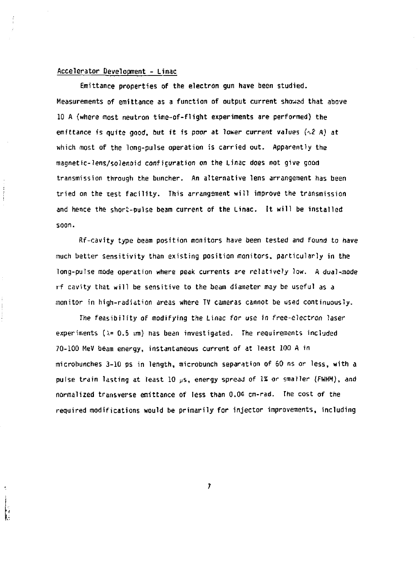## **Accelerator Development - Linac**

**Emittance properties of the electron gun have been studied. Measurements of emittance as a function of output current showed that above 10 A (where most neutron time-of-flight experiments are performed) the emittance is quite good, but it is poor** *at loner current* **values** *{^2* **A) at which most of the long-pulse operation is carried out. Apparently the magnetic-lens/solenoid conficuration on the Linac does not give good transmission through the buncher. An alternative lens arrangement has been tried on the test facility. This arrangement will improve the transmission and hence the shor'c-pulse beam current of the Linac. It will be installed soon.** 

**Rf-cavity type beam position monitors have been tested and found to have much better sensitivity than existing position monitors, particularly in the long-pulse mode operation where peak currents are relatively low. A dual-mode if cavity that will be sensitive to the beam diameter may be useful as a monitor in high-radiation areas where TV cameras cannot be used continuously.** 

**The feasibility of modifying the Linac for use in free-electron laser experiments (***\=* **0.5 wn) has bean investigated. The requirements included 70-100 MeV beam energy, instantaneous current of at least 100 A in microbunches 3-10 ps in length, microbunch separation of 60 ns or less, with a pulse train lasting at least 10 JJS, energy spread of IS or smaller (FWHM),** *and*  **normalized transverse emittance of less than 0.04 cm-rad. The cost of the required modifications would be primarily for injector improvements, including**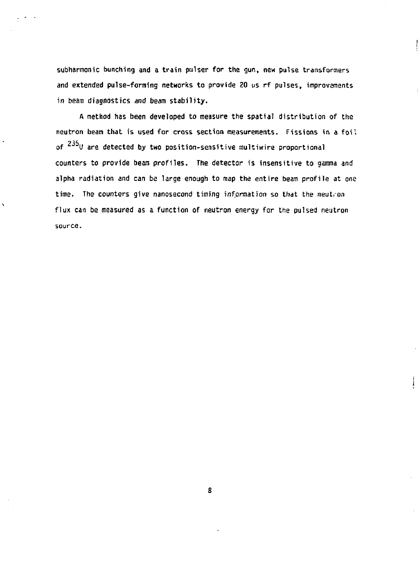**subharmonic bunching and a train pulser for the gun, new pulse transformers and extended pulse-forming networks to provide ZO us rf pulses, improvements in beam diagnostics and beam stability.** 

**A method has been developed to measure the spatial distribution of the neutron beam that is used for cross section measurements. Fissions in a foil**  of <sup>235</sup>U are detected by two position-sensitive multiwire proportional **counters to provide beam profiles. The detector is insensitive to gamma and alpha radiation and can be large enough to map the entire beam profile at one time. The counters give nanosecond timing information so that the neutron flux can be measured as a function of neutron energy for the pulsed neutron source.** 

 $\lambda$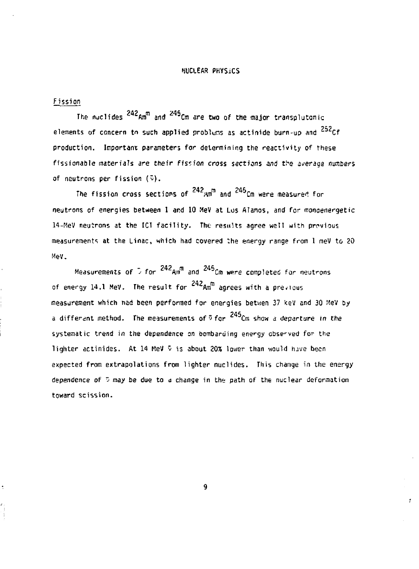#### WCLEAR PHYSICS

#### fissio n

**The nuclides Amra and Cm are two of the major transplutanic elements of concern to such applied problems as actinide burn-up and**  $^{252}$ **Cf production. Important parameters for determining the reactivity of these fissionable materials are** *their fission* **cross sections and t.^e average numbers of neutrons per fission (y).** 

The fission cross sections of <sup>242</sup><sub>Mm</sub><sup>m</sup> and <sup>245</sup>Cm were measured for **neutrons of energies between 1 ar.d 10 MeV at Los Alamos, and for monoenergetic 14-MeV neutrons at the IC1 facility. The results agree well with previous measurement"; at the Linac, which had covered the energy range from 1 meV to 20 Mev.** 

**242 m 245 Measurements of** *•>* **for Am and** *Cm* **were completed far neutrons of energy 14.1 MeV. The result for Amm agrees with a previous measurement which nad been performed for energies betwen 37 kev and 30 MeV by**   $\alpha$  different method. The measurements of  $\frac{345}{\pi}$ Cm show a departure *in the* **systematic trend in the dependence on bombarding energy obse-ved for the lighter actinides. At 14 MeV v is about 20% lower than would have been expected from extrapolations from lighter nuclides. This change in the energy dependence of " may be due to** *a* **change in the path of the nuclear deformation toward scission.** 

**9** 

 $\epsilon$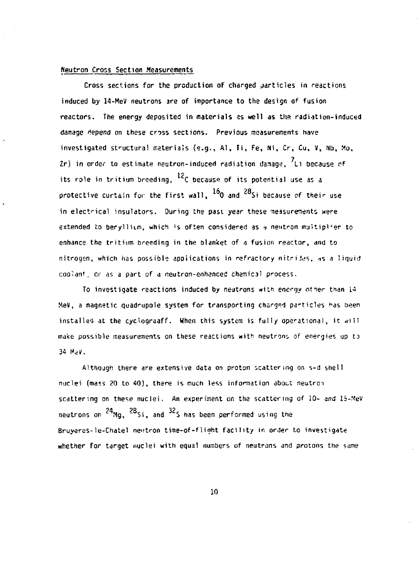## **Neutron Cross Section Measurements**

**Cross sections for the production of charged particles in reactions induced by 14-MeV neutrons are of importance to the design of fusion**  reactors. The energy deposited in materials as well as the radiation-induced **damage depend on these cross sections. Previous measurements have investigated structural materials (e.g., Al, li, Fe, Ni,** *Cr,* **Cu, V, Nb, Mo, Zr) in order to estimate neutron-induced radiation damage, Li because of**  its role in tritium breeding, <sup>12</sup>C because of its potential use as a  $\overline{\phantom{a}}$ protective curtain for the first wall, <sup>16</sup>0 and <sup>28</sup>Si because of their use in electrical insulators. During the past year these measurements were extended to beryllium, which is often considered as a neutron multiplier to **extended to berylliLm, whic^i ; s often considered as** *1* **neutron multiplier to enhance the tritium breeding in the blanket of** *a* **fusion reactor, and to**  coolant, or as a part of a neutron-enhanced chemical process.

To investigate reactions induced by neutrons with energy other than 14 MeV, a magnetic quadrupole system for transporting charged particles has been installed at the cyclograaff. When this system is fully operational, it will make possible measurements on these reactions with neutrons of energies up to **make possible measurements on these reactions with neutrons of energies up to** 

nuclei (mass 20 to 40), there is much less information about neutron scattering on these nuclei. An experiment on the scattering of 10- and 15-MeV <code>neutrons</code> on  $^{24}$ Mg,  $^{28}$ Si, and  $^{32}$ S has been performed using the  $\,$ Bruyeres-le-Chatel neutron time-of-flight facility in order to investigate **whether for target nuclei with equal numbers of neutrons and proions the same**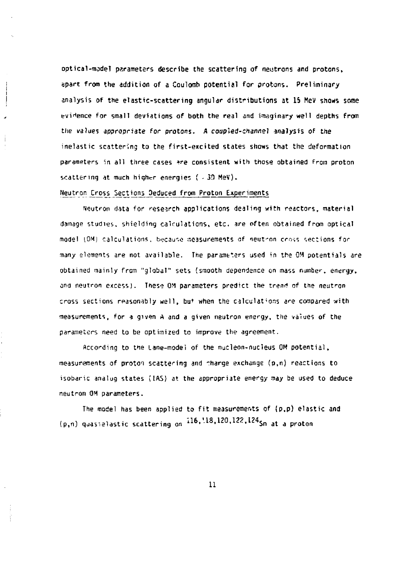**optical-model parameters describe the scattering of neutrons and protons, apart from the addition of a Coulomb potential for protons. Preliminary analysis of the elastic-scattering angular distributions at 15 MeV shoas some evidence for small deviations of both the real and imaginary well depths from the values appropriate for protons.** *A* **coupled-channel analysis of the inelastic scattering to the first-excited states shows that the deformation parameters in all three cases »re consistent with those obtained from proton**  scattering at much higher energies ( - 30 MeV).

#### **'{?.<sup>l</sup>i!:<sup>r</sup>A <sup>n</sup>- Cross Sections Seduced from Proton Experiments**

**Neutron data for research applications dealing with reactors, material damage studies, shielding calculations, etc. are often obtained from optical**  model (OM) calculations, because measurements of neutron cross sections for many elements are not available. The parameters used in the OM potentials are **obtained mainly from "global" sets (smooth dependence on mass number, energy, ana neutron excess). These OM parameters predict the trend of the neutron cross sections reasonably well, but when the calculations** *tre* **compared with measurements, for** *z* **given A and a given neutron energy, the values of the parameters need to be optimized to improve the agreement.** 

**According to the Lane-model of the nucleon-nucleus OM potential, measurements of proton scattering and charge exchange (p,n) reactions to**  isobaric analog states (IAS) at the appropriate energy may be used to deduce **neutron OM parameters.** 

**The model has been applied to fit measurements of (p,p) elastic and (p,n) quav.slastic scattering on il&,'.18,120,122.124^<sup>a</sup> <sup>t</sup>** *a prato <sup>n</sup>*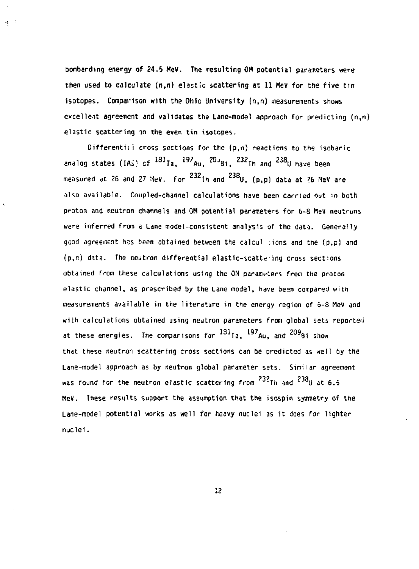**bombarding energy of 24,5 HeV. The resulting OH potential parameters were then used to calculate (n,n) elastic scattering at 11 MeV for the five tin isotopes. Comparison with the Ohio University (n,n) measurements shows excellent agreement and validates the Lane-model approach for predicting (n,n) elastic scattering in the even tin isotopes.** 

Ą.

**Differentii 1 cross sections for the (p,n) reactions to the isabaric analog states (IAi} cf 18] T a , <sup>197</sup> A u , ^Bi . <sup>232</sup> T h and <sup>238</sup> U have been measured at 26 and 27 MeV. for <sup>232</sup> T h and <sup>238</sup> U , (p,p) data at 26 MeV** *are*  **also available. Coupled-channel calculations have been carried out in both proton and neutron channels and OM potential parameters for 6-8 MeV neutrons were inferred from a Lane model-consistent analysis of the data. Generally good agreement has been obtained between the calcul :ions and the (p,p) and (p,n) data. The neutron differential elastic-scatteing cross sections obtained from these calculations using the OM parameters from the proton elastic channel, as prescribed by the Lane model, have been compared with measurements available in the literature in the energy region of 6-8 MeV and with calculations obtained using neutron parameters from global sets reported**  at these energies. The comparisons for <sup>131</sup>Ia, <sup>197</sup>Au, and <sup>209</sup>8i show **that these neutron scattering cross sections can be predicted as well by the Lane-model approach as by neutron global parameter sets. Similar agreement**  was found for the neutron elastic scattering from <sup>232</sup>Th and <sup>238</sup>U at 6.5 **HeV. These results support the assumption that the isospin symmetry of the Lane-model potential works as well for heavy nuclei as it does for lighter nuclei.**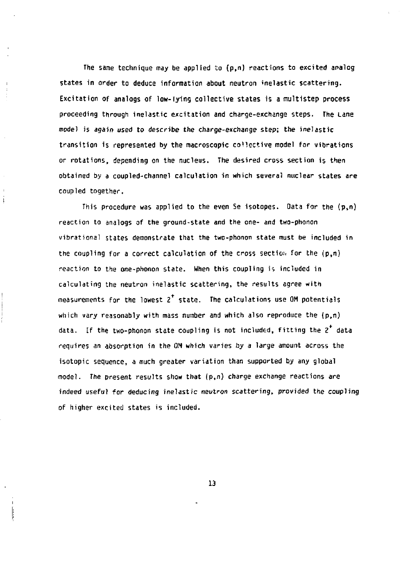**The same technique may be applied to (p,n) reactions to excited analog states in order to deduce information about neutron inelastic scattering. Excitation of analogs of low-lying collective states is a multistep process proceeding through inelastic excitation and charge-exchange steps. The Lane mode) is again used to describe the charge-exchange step; the inelastic transition is represented by the macroscopic collective model for vibrations or rotations, depending on the nucleus. The desired cross section is then obtained by a coupled-channel calculation in which several nuclear states are coupled together.** 

İ

**This procedure was applied to the even Se isotopes. Data for the (p,n) reaction to analogs of the ground-state and the one- and two-phonon vibrational states demonstrate that the two-phonon state must be included in the coupling for a correct calculation of the cross section for the (p,n) reaction to the one-phonon state. When this coupling is included in calculating the neutron inelastic scattering, the results agree with measurements for the lowest 2 state. The calculations use OH potentials which vary reasonably with mass number and which also reproduce the (p,n) data. If the two-phonon state coupling is not included, fitting the** *2* **data requires** *an* **absorption in the OM which varies by a large amount across the isotopic sequence, a much greater variation than supported by any global model. The present results show that (p,n) charge exchange reactions** *are*  **indeed useful for deducing inelastic neutron scattering, provided the coupling of higher excited states is included.**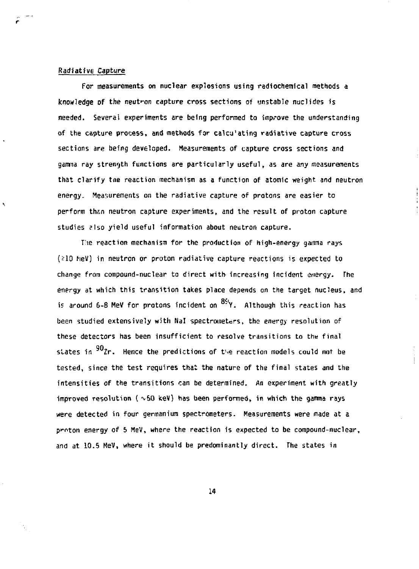#### **Radiative Capture**

Ą

**For measurements on nuclear explosions using radiochemical methods a knowledge of the neutron capture cross sections of unstable nuclides is needed. Several experiments are being performed to improve the understanding of the capture process, and methods for calcu'ating radiative capture cross sections are being developed. Measurements of capture cross sections and gamma ray strength functions are particularly useful, as are any measurements that clarify tne reaction mechanism as a function of atomic weight and neutron energy. Measurements on the radiative capture of protons are easier to**  perform than neutron capture experiments, and the result of proton capture **studies slso yield useful information about neutron capture.** 

**Tie reaction mechanism for the production of high-energy gamma rays (?10 heV) in neutron or proton radiative capture reactions is expected to change from compound-nuclear to direct with increasing incident energy. The energy at which this transition takes place depends on the target nucleus, and if around 6-8 MeV for protons incident on Y. Although this reaction has been studied extensively with Nal spectrometers, the energy resolution of these detectors has been insufficient to resolve transitions to the final**  states in <sup>90</sup>2r. Hence the predictions of the reaction models could not be **tested, since the test requires that the nature of the final states and the intensities of the transitions can be determined. An experiment with greatly**  improved resolution (  $\sim$  50 keV) has been performed, in which the gamma rays **were detected in four germanium spectrometers. Measurements were made at a ponton energy of 5 MeV, where the reaction is expected to be compound-nuclear, and at 10.5 MeV, where it should be predominantly direct. The states in**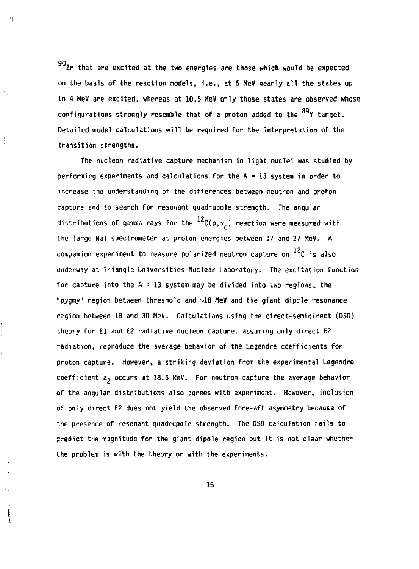**Zr that are excited at the two energies are those which would be expected on the basis of the reaction models, i.e., at 5 MeV nearly all the states up**  to 4 MeV are excited, whereas at 10.5 MeV only those states are observed whose configurations strongly resemble that of a proton added to the <sup>89</sup>Y target. **Detailed model calculations will be required for the interpretation of the transition strengths.** 

H.

 $\frac{1}{2}$ 

**The nucleon radiative capture mechanism in light nuclei was studied by performing experiments and calculations for the A = 13 system in order to increase the understanding of the differences between neutron and proton capture and to search for resonant quadrupole strength. The angular**  distributions of gamma rays for the  $^{12}$ C(p, $_{Y}$ ) reaction were measured with **the large Nal spectrometer at proton energies between 17 and 27 MeV. A**  companion experiment to measure polarized neutron capture on <sup>12</sup>C is also **underway at Triangle Universities Nuclear Laboratory. The excitation function for capture into the A = 13 system may be divided into vwo regions, the "pygmy" region between threshold and <sup>n</sup> J8 MeV and the giant dipcle resonance region between 18 and 30 MeV. Calculations using the direct-semidirect (DSD) theory for El and E2 radiative nucleon capture, assuming only direct E2 radiation, reproduce the average behavior of the Legendre coefficients for proton capture. However, a striking deviation from the experimental Legendre coefficient a, occurs at 18.5 MeV. For neutron capture the average behavior of the angular distributions also agrees with experiment. However, inclusion of only direct E2 does not yield the observed fore-aft asymmetry because of the presence of resonant quadrupole strength. The DSD calculation fails to predict the magnitude for the giant dipole region but it is not clear whether the problem is with the theory or with the experiments.**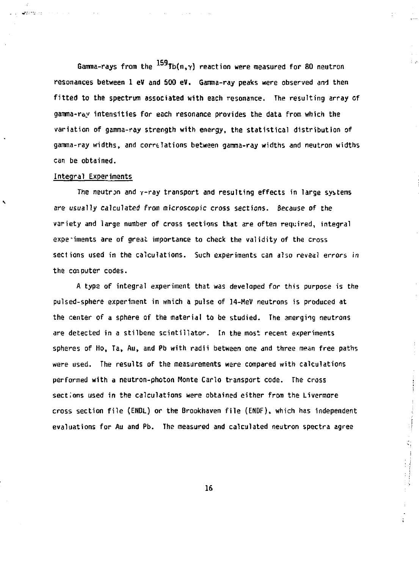Gamma-rays from the  $^{159}$ Tb(n, $\gamma$ ) reaction were measured for 80 neutron **resonances between 1 eV and 500 eV. Gamma-ray peaks were observed and then fitted to the spectrum associated with each resonance. The resulting array of gamma-ray intensities for each resonance provides the data from which the variation of ganma-ray strength with energy, the statistical distribution of**  gamma-ray widths, and correlations between gamma-ray widths and neutron widths **can be obtained.** 

#### **Integral Experiments**

المستحدث

٩

**The neutron and y-ray transport and resulting effects in large systems are usually calculated from microscopic cross sections. Because of the variety and large number of cross sections that are often required, integral experiments are of great importance to check the validity of the cross seciions used in the calculations. Such experiments can also reveal errors in the computer codes.** 

**A type of integral experiment that was developed for this purpose is the pulsed-sphere experiment in wnich a pulse of 14-MeV neutrons is produced at the center of a sphere of the material to be studied. The emerging neutrons are detected in a stilbene scintillator. In the most recent experiments spheres of Ho, Ta, Au, and Pb with radii between one and three mean free paths were used. The results of the measurements were compared with calculations performed with a neutron-photon Monte Carlo transport code. The cross sections used in the calculations were obtained either from the Livermore cross section file (ENDL) or the Brookhaven file (ENDF), which has independent evaluations for Au and Pb. The measured and calculated neutron spectra agree** 

 $\begin{array}{c} \vdots \\ \vdots \\ \vdots \\ \vdots \end{array}$ 

 $\begin{bmatrix} 1 \\ 2 \\ 3 \\ 1 \end{bmatrix}$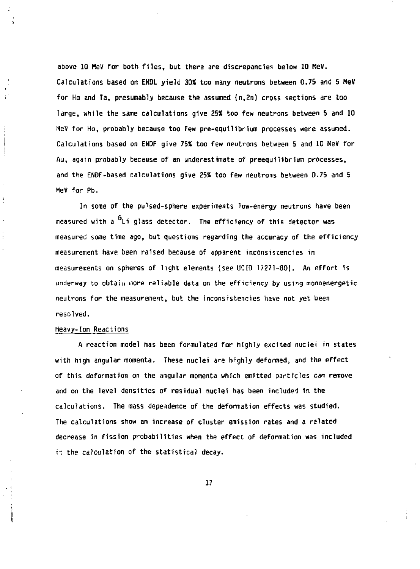**above 10 MeV for both files, but there are discrepancies below 10 MeV. Calculations based on ENDL yield 30X too many neutrons between 0.75 and 5 MeV for Ho and Ta, presumably because the assumed (n,2n) cross sections** *are* **too large, while the same calculations give 25\* too few neutrons between 5 and 10 MeV for Ho, probably because too few pre-equilibrium processes were assumed. Calculations based on EHDF give 75X too few neutrons between 5 and 10 MeV for Au, again probably because of an underestimate of preequilibrium processes, and the ENDF-based calculations give 25% too few neutrons between 0.75 and 5 MeV for Pb.** 

In some of the pulsed-sphere experiments low-energy neutrons have been **measured with a Li glass detector. The efficiency of this detector was measured some time ago, but questions regarding the accuracy of the efficiency measurement have been raised because of apparent inconsistencies in measurements on spheres of light elements (see UCID 17271-80). An effort is underway to obtain more reliable data on the efficiency by using monoenergetic neutrons for the measurement, but the inconsistencies have not yet been resolved.** 

## **Heavy-Ion Reactions**

ł,

**A reaction model has been formulated for highly excited nuclei in states with high angular momenta. These nuclei** *are* **highly deformed, and the effect of this deformation on the angular momenta which emitted particles can remove and on the level densities o\* residual nuclei has been included in the calculations. The mass dependence of the deformation effects was studied. The calculations show an increase of cluster emission rates and a related decrease in fission probabilities when the effect of deformation was included in the calculation of the statistical decay.**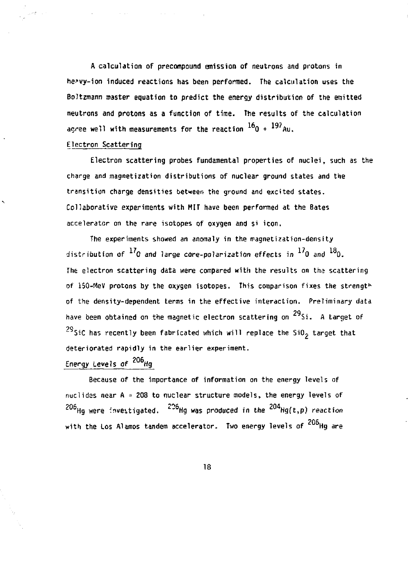**A calculation of precompound emission of neutrons and protons in he?vy-ion induced reactions has been performed. The calculation uses the Boltzmann master equation to predict the energy distribution of the emitted neutrons and protons as a function of time. The results of the calculation**  <code>agree</code> well with measurements for the reaction  $^{16}$ O +  $^{197}$ Au.

## **Electron Scattering**

**Electron scattering probes fundamental properties of nuclei, such as the charge and magnetization distributions of nuclear ground states and the transition charge densities between the ground and excited states. Collaborative experiments with HIT have been performed at the Bates accelerator on the rare isotopes of oxygen and si icon.** 

**The experiments showed** *an* **anomaly in the magnetization-density**  distribution of  $^{17}$ O and large core-polarization effects in  $^{17}$ O and  $^{18}$ O. The electron scattering data were compared with the results on the scattering **of 150-MeV protons by the oxygen isotopes. This comparison fixes the strength of the density-dependent terms in the effective interaction. Preliminary data**  have been obtained on the magnetic electron scattering on <sup>29</sup>Si. A target of **SiC has recently been fabricated which will replace the Si02 target that deteriorated rapidly in the earlier experiment.** 

# Energy Levels of 206<sub>Hg</sub>

Because of the importance of information on the energy levels of nuclides near A = 208 to nuclear structure models, the energy levels of **nuclides near A = 208 to nuclear structure models, the energy levels of**  o<sup>coup</sup> were developated. The was produced in the TT **?** Hg were investigated. '" Hg was produced in the Hg(t,p) reaction with the Los Alamos tandem accelerator. Two energy levels of  $\overline{\phantom{a}}$  ing are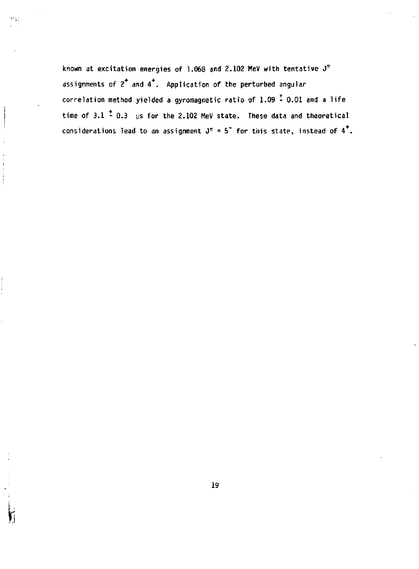**known at excitation energies of 1.068 and 2.102 MeV with tentative J<sup>11</sup> assignments of 2 and 4 . Application of the perturbed angular correlation method yielded a gyromagnetic ratio of 1.09 - 0.01 and a life**  time of 3.1  $\stackrel{+}{\sim}$  0.3 us for the 2.102 MeV state. These data and theoretical considerations lead to an assignment  $J^{\pi} = 5$ <sup>\*</sup> for this state, instead of 4<sup>\*</sup>.

الأثاثر

**i**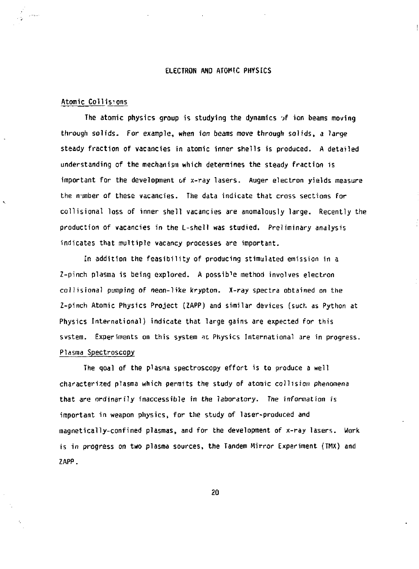### **ELECTRON AND ATOMIC PHYSICS**

## **Atomic Collisions**

The atomic physics group is studying the dynamics of ion beams moving **through solids. For example, when ion beams move through solids, a large steady fraction of vacancies in atomic inner shells is produced. A detailed understanding of the mechanism which determines the steady fraction is important for the development of x-ray lasers. Auger electron yields measure the number of these vacancies. The data indicate that cross sections for collisional loss of inner shell vacancies are anomalously large. Recently the production of vacancies in the L-shell was studied. Preliminary analysis indicates that multiple vacancy processes are important.** 

**In addition the feasibility of producing stimulated emission in a**  Z-pinch plasma is being explored. A possible method involves electron **collisional pumping of neon-like krypton.** *X-ray* **spectra obtained on the Z-pinch Atomic Physics Project (ZAPP) and similar devices (such as Python at Physics International) indicate that large gains are expected for this svstem. Experiments on this system at. Physics International are in progress. Plasma Spectroscopy** 

**The goal of the plasma spectroscopy effort is to produce a well characterized plasma which permits the study of atomic collision phenomena that are ordinarily inaccessible in the laboratory. The information is important in weapon physics, for the study of laser-produced and magnetically-confined plasmas, and for the development of x-ray lasers, work is in progress on two plasma sources, the Tandem Mirror Experiment (TMX) and ZAPP.**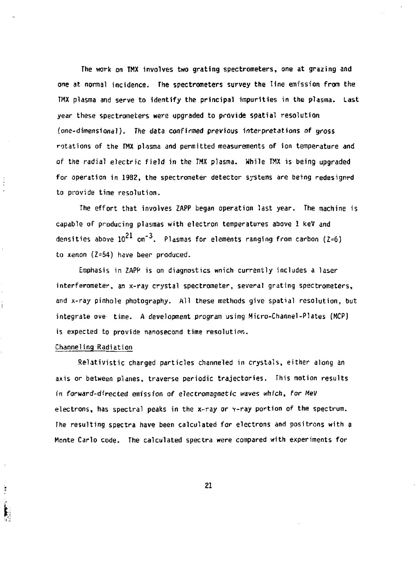**The work on TMX involves two grating spectrometers, one at grazing and one at normal incidence. The spectrometers survey the line emission from the TMX plasma and serve to identify the principal impurities in the plasma. Last year these spectrometers were upgraded to provide spatial resolution (one-dimensional). The data confirmed previous interpretations of gross rotations of the THX plasma and permitted measurements of ion temperature and of the radial electric field in the TMX plasma. While TMX is being upgraded for operation in 1982, the spectrometer detector systems are being redesigned to provide time resolution.** 

**The effort that involves ZAPP began operation last year. The machine is capable of producing plasmas with electron temperatures above 1 kev and**  densities above  $10^{21}$  cm<sup>-3</sup>. Plasmas for elements ranging from carbon (2=6) **to xenon (Z=54) have beer produced.** 

**Emphasis in ZAP!<sup>7</sup> is on diagnostics wnich currently includes a laser interferometer, an x-ray crystal spectrometer, several grating spectrometers, and x-ray pinhole photography. All these methods give spatial resolution, but integrate ove time. A development program using Micro-Channel-Plates (MCP) is expected to provide nanosecond time resolution.** 

#### **Channeling Radiation**

Ì

**Relativistic charged particles channeled in crystals, either along an axis or between planes, traverse periodic trajectories. This motion results**  *in* **forward-directed emission of electromagnetic** *waves* **which,** *for MeV*  **electrons, has spectral peaks in the x-ray or v-ray portion of the spectrum. The resulting spectra have been calculated for electrons and positrons with a Monte Carlo code. The calculated spectra were compared with experiments for**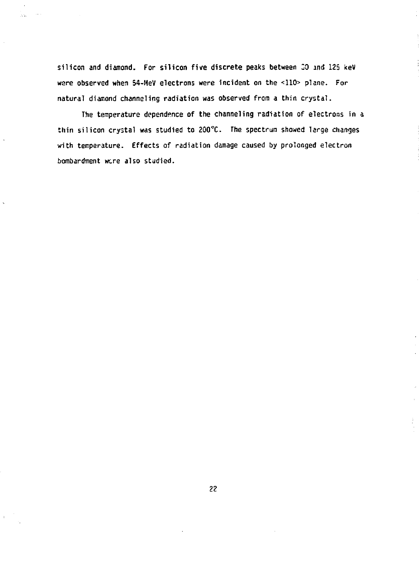**silicon and diamond. For silicon five discrete peaks between** *ZO* **and 125 keV ware observed when 54-MeV electrons were incident on the <110> plane. For natural diamond channeling radiation was observed from a thin crystal.** 

AN.

**The temperature dependence of the channeling radiation of electrons in a thin silicon crystal was studied to 2Q0°C. The spectrum showed large changes with temperature. Effects of radiation damage caused by prolonged electron bombardment were also studied.**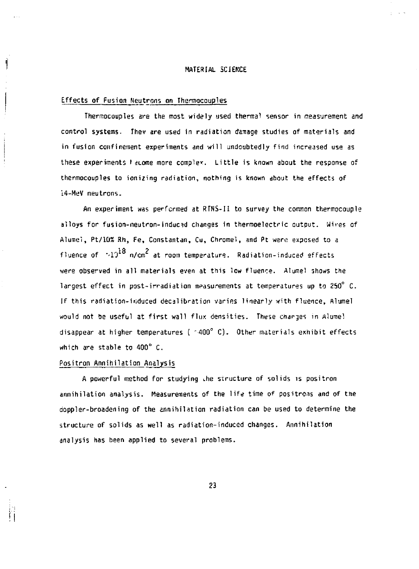#### **MATERIAL SCIENCE**

#### **Effects of Fusion Neutrons on Thermocouples**

Í

**Thermocouples are the most widely used thermal sensor in measurement and control systems. Thev are used in radiation danage studies of materials and in fusion confinement experiments and will undoubtedly find increased use as these experiments** *I iLome* **more complex. Little is known about the response of thermocouples to ionizing radiation, nothing is known about the effects of H-MeV neutrons.** 

**An experiment was performed at RTNS-II to survey the common thermocouple alloys for fusion-neutron-induced changas in thermoelectric output. Wires of**  Alumel, Pt/10% Rh, Fe, Constantan, Cu, Chromel, and Pt were exposed to a fluence of  $\sim 10^{18}$  n/cm<sup>2</sup> at room temperature. Radiation-induced effects were observed in all materials even at this low fluence. Alumel shows the largest effect in post-irradiation measurements at temperatures up to 250° C. If this radiation-induced decalibration varies linearly with fluence, Alumel would not be useful at first wall flux densities. These charges in Alume! disappear at higher temperatures (  $\sim$  400° C). Other materials exhibit effects which are stable to 400° C.

## Positron Annihilation Analysis

A powerful method for studying the structure of solids is positron annihilation analysis. Measurements of the life time of positrons and of the doppler-broadening of the annihilation radiation can be used to determine the structure of solids as well as radiation-induced changes. Annihilation analysis has been applied to several problems.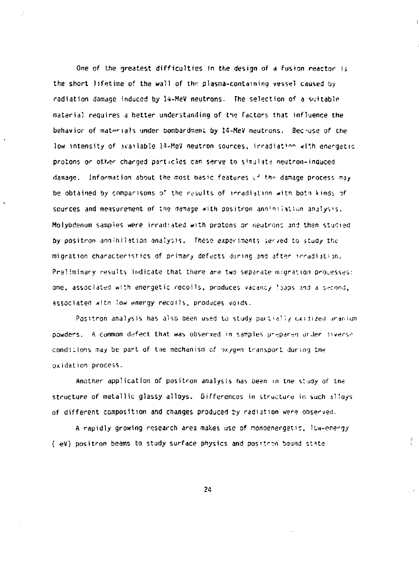**One of the greatest difficulties in the design of a fusion reactor is the short lifetime of the wall of the plasma-containing vessel caused by radiation damage induced by 14-HeV neutrons- The selection of a suitable**  material requires a better understanding of the factors that influence the behavior of materials under bombardment by 14-MeV neutrons. Bec-use of the **low intensity of mailable i4-HeV neutron sources, irradiat•'<sup>r</sup>" , <fith energetic**  protons or other charged particles can serve to simulate neutron-induced **damage. Information about the most oasic features f' tho damage process may**  be obtained by comparisons of the results of irradiation with both kinds of **sources and measurement** *of* **tne da-nage with positron annin; i\*tii;n analysis. Molybdenum samples were irradiated with protons or neutrons and then studied**  *by* **positron annihilation analysis. These experiments ier/ed to study the migration characteristics of prinary defects during and after irradiation.**  Preliminary results indicate that there are two separate migration processes: **one, associated with energetic recoils, produces vacancy 'Jops and a second, associated witn low energy recoils, produces voids.** 

**Positron analysis has also been used to study partially ex 11ned uranium**  powders. A common defect that was observed in samples prepared ur.ler !iverse**conditions may be part of tie mechanism of or.yg»n transport during tne oxidation process.** 

**Another application of positron analysis has been in tne study of tne structure of metallic glassy alloys. Differences in structure in such ±1loys of different composition and changes produced** *by* **radiation were observed.** 

**A rapidly growing research area makes use of nonoenergetic, lew-energy ( -eV) positron beams to study surface physics and positron bound st^te**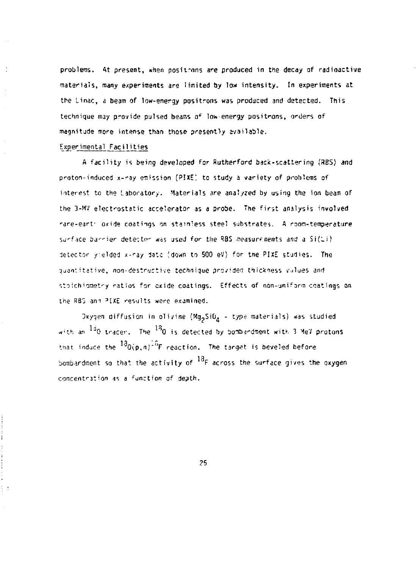**problems. At present, \*nen positions are produced in the decay of radioactive materials, many experiments are limited by low intensity. In experiments at the Linac, a beam of low-energy positrons was produced and detected. This technique may provide pulsed beams** *a<sup>e</sup>* **loti-energy positrons, orders of magnitude more intense than those presently available.** 

## Experimental Facilities

**A facility is being developed for Rutherford back-scattering (3BS) and proton-induced x-ray emission (PIXE! to study a variety of problems of interest to the Laboratory. Materials are analyzed by using the ion beam of the 3-MV electrostatic accelerator as a probe. The first analysis involved •"are-earf oxide coatings on stainless steel substrates. A room-temperature sj^f'jce bj-^ier detente- ^ s jsed** *for* **the ^3S TOasurf nents ancf** *a* **Si(^i) detector y.elded x-ray data [down to 500 eV) for tne PIXE studies. The**  quantitative, non-destructive technique provided thickness vulues and **strjichionet'-y ratios for cxide coatings. Effects of non-jniform coatings on ihe SB3 a m <sup>3</sup> I XE results were examined.** 

Oxygen diffusion in olivine (Mg<sub>2</sub>SiO<sub>4</sub> - type materials) was studied **w^th ar l3 0 tracer. The ''O is detected by bombardment witK 3 Me'i protons**  that induce the  $^{13}$ 0(p,n)<sup>18</sup>F reaction. The target is beveled before bombardment so that the activity of <sup>18</sup>F across the surface gives the oxygen **concentration as a ^unction of depth.**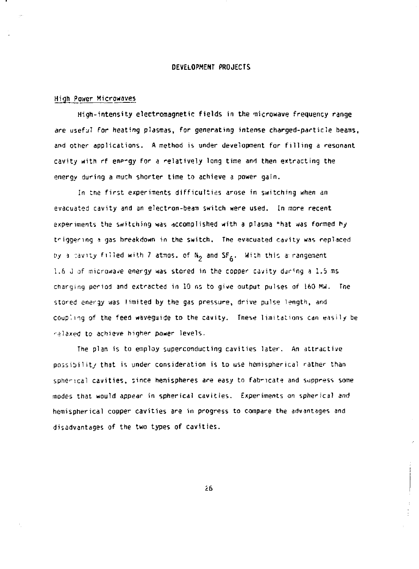#### **DEVELOPMENT PROJECTS**

#### **High Power Microwaves**

**High-intensity electromagnetic fields in the microwave frequency range**  *are* **usefj7 for heating plasmas, for generating intense charged-particle beams, and other applications. A method is under development for filling a resonant cavity with rf enp-gy for a relatively long time and then extracting the energy during a much shorter time to achieve a power gain.** 

**In tne first experiments difficulties arose in switching when an evacuated cavity and an electron-beam switch were used. In more recent experiments the switching was accomplished with a plasma \*hat was formed hy triggering a gas breakdown in the switch. The evacuated cavity was replaced riy** *i* **:avity filled with 7 atmas. of N, and SF,. With this a: rangenent**  1.6 J of microwave energy was stored in the copper cavity during a 1.5 ms **charging period and extracted in 10 ns to give output pulses of 160 MW. Tne stored energy was limited by the gas pressure, drive pulse length, and coup', n g of the feed waveguide to the cavity. These limitations can easily be relaxed to achieve higher power levels.** 

**The plan is to employ superconducting cavities later. An attractive possibility that is under consideration is to use hemispherical rather than**  spherical cavities, since hemispheres are easy to fabricate and suppress some **modes that would appear in spherical cavities. Experiments on spherical and hemispherical copper cavities are in progress to compare the advantages and disadvantages of the two types of cavities.** 

**£6**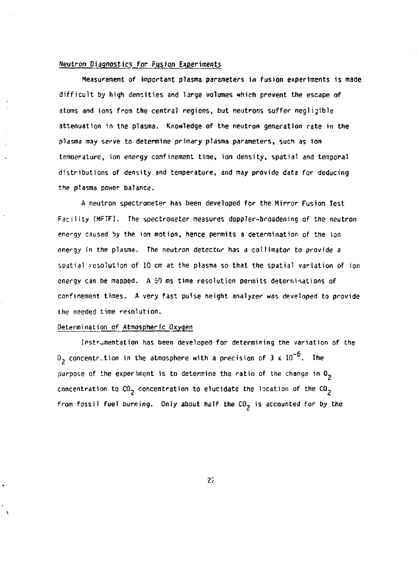#### **Neutron Diagnostics** *for* **Fusion Experiments**

**Measurement of important plasma parameters in fusion experiments is made difficult by high densities and large volumes which prevent the escape of atoms and ions frojn the central regions, but neutrons suffer negligible attenuation in the plasma. Knowledge of the neutron generation rate in the plasma may serve to determine primary plasma parameters, such as ion temperature, ion energy confinement time, ion density, spatial and temporal distributions of density and temperature, and may provide data for deducing the plasma power balance.** 

**A neutron spectrometer has been developed for the Mirror Fusion Test Facility (MFTF}, The spectrometer measures doppler-broadening of the neutron energy caused by the ion motion, hence permits a determination of the ion energy in the plasma. The neutron detector has a collimator to provide a spatial resolution of 10 cm at the plasma so that the spatial variation of ion energy can be mapped. A 50 ms time resolution permits determinations of confinement times. A very fast pulse height analyzer was developed to provide the needed time resolution.** 

#### **Determination of Atmospheric Oxygen**

**Instrumentation has been developed for determining the variation of the**   $\sigma_2$  concentration in the atmosphere with a precision of 3 x  $10^{-6}$ . The **purpose of the experiment is to determine the ratio of the change in 0** concentration to  $CO<sub>2</sub>$  concentration to elucidate the location of the  $CO<sub>2</sub>$ from fossil fuel burning. Only about half the CO<sub>2</sub> is accounted for by the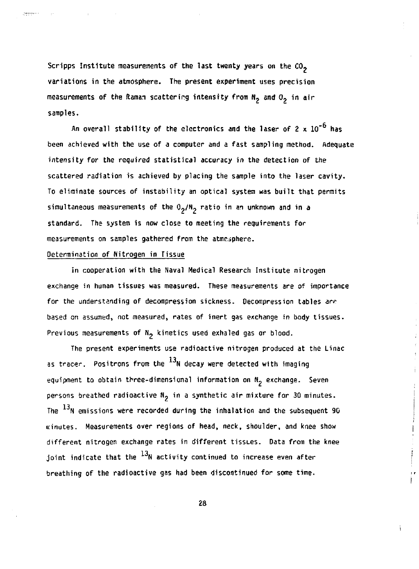**Scripps Institute measurements of the last twenty years on the CO, variations in the atmosphere. The present experiment uses precision measurements of the Raman scattering intensity from N, and 0, in air samples.** 

An overall stability of the electronics and the laser of 2 x 10<sup>-6</sup> has **been achieved with the use of a computer and a fast sampling method. Adequate intensity for the required statistical accuracy in the detection of the scattered radiation is achieved by placing the sample into the laser cavity. To eliminate sources of instability an optical system was built that permits**  simultaneous measurements of the O<sub>2</sub>/N<sub>2</sub> ratio in an unknown and in a **standard. The system is now close to meeting the requirements for**  measurements on samples gathered from the atmosphere.

#### **Determination of Nitrogen in Tissue**

**Continue** 

**In cooperation with the Naval Medical Research Institute nitrogen exchange in human tissues was measured. These measurements are of importance**  for the understanding of decompression sickness. Decompression tables are **based on assumed, not measured, rates of inert gas exchange in body tissues-**Previous measurements of N<sub>2</sub> kinetics used exhaled gas or blood.

**The present experiments use radioactive nitrogen produced at the Linac**  as tracer. Positrons from the  $^{13}$ N decay were detected with imaging **equipment to obtain three-dimensional information on N- exchange. Seven persons breathed radioactive N. 'n a synthetic air mixture for 30 minutes.**  The <sup>13</sup>N emissions were recorded during the inhalation and the subsequent 90 **rcinutes. Measurements over regions of head, neck, shoulder, and knee show different nitrogen exchange rates in different tissues. Data from the knee**  joint indicate that the  $^{13}$ N activity continued to increase even after breathing of the radioactive gas had been discontinued for some time.

**28** 

ì.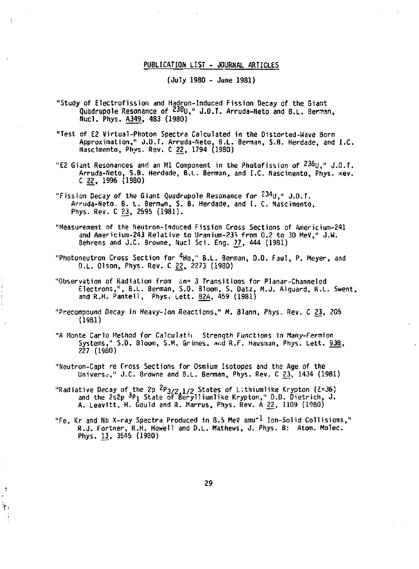### PUBLICATION LIST - JOURHAL ARTICLES

(July 1980 - June **1981)** 

- "Study of Electrofission and Hadron-Induced Fission Decay of the Giant Quadrupole Resonance of Z38uy J.O.T. Arruda-Neto and B.L. Bernran, Nucl. Phys. A349, 483 (1980)
- "Test of E2 Virtual-Photon Spectra Calculated in the Distorted-Wave Born Approximation," J.O.T. Arruda-Neto, 8.L. Berman, S.B. Herdade, and I.C. Nascimento, Phys- Rev. C 22, 1794 (1980)
- "E2 Giant Resonances and an Ml Component in the Photofission of <sup>236</sup>U," J.D.T. Arruda-Neto, S.B. Herdade, B.L. Berman, and I.C. Nascimento, Phys. nev. C 22, 1996 (1980)
- "Fission Decay of the Giant Quadrupole Resonance for  $234$ U," J.D.T. Arruda-Neto. B. L. Berman, S. B. Herdade, and *I.* C. Nascimento, Phys. Rev. C 23, 2595 (1981).
- "Measurement of the Neutron-Induced Fission Cross Sections of Americium-241 and Americium-243 Relative to Uranium-23S from 0.2 to 30 MeV," J.W. Behrens and J.C. Browne, Nucl Sci. Eng. <u>77</u>, 444 (1981)
- "Photoneutron Cross Section for <sup>4</sup> He," B.L. Berman, 0.0. Faul, P. Meyer, and D.L. Olson, Phys. Rev. C 22, 2273 (1980)
- "Observation of Radiation from in= 3 Transitions for Planar-Channeled Electrons,", B.L. Berman, S.D. Bloom, S. Datz, M.J. Alguard, R.L. Swent, and R.H. Pantell, Phys. Lett. 82A, 459 (1981)
- "Precompound Decay in Heavy-Ion Reactions," M. Blann, Phys. Rev. C 23, 205 (1981)
- "A Monte Carlo Method for Calculati: Strength Functions in Many-Fermion Systems," S.D. Bloom, S.M. Grimes, a.id R.F. Hausman, Phys. Lett. 936, 227 (1980)
- "Neutron-Capt re Cross Sections for Osmium Isotopes and the Age of the Universe," J.C. Browne and B.L. Berman, Phys. Rev. C 23, 1434 (1981)
- "Radiative Decay of the 2p *^P^/Z* 1/2 States of *l\*thiumlike Krypton (Z=36) and the 2s2p *<sup>3</sup>P\* State of fierylliumlike Krypton," D.D. Dietrich, J. A. Leavitt, H. Gould and R. Marrus, Phys. Rev. A <u>22</u>, 1109 (1980)
- "Fe, Kr and Nb X-ray Spectra Produced in 8.5 MeV amu<sup>-1</sup> Ion-Solid Collisions," R.J. Fortner, R.H. Howell and D.L. Mathews, J. Phys. B: Atom. Molec. Phys. 13, 3545 (1980)

Ą,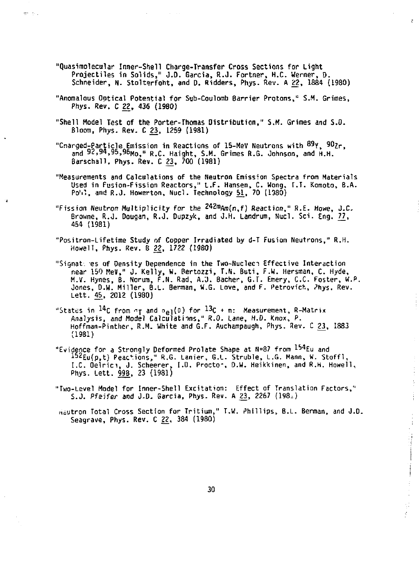**"Quasimolecular Inner-Shell Charge-Transfer Cross Sections for Light Projectiles in Solids," J.D. Garcia, R.J. Fortner, H.C. Werner, D. Schneider, N. Stolterfoht, and D. Ridders, Phys. Rev. A 22, 1884 (1980)**   $\mathcal{L}$ 

 $\frac{1}{2}$  $\frac{1}{2}$ Î

 $\frac{1}{4}$ 

计过程计算子

ç.

erist.

- **"Anomalous Ootical Potential for Sub-Coulomb Barrier Protons,'<sup>1</sup> S.M. Grimes, Phys. Rev. C 22, 436 (1980)**
- **"Shell Model Test of the Porter-Thomas Distribution," S.M. Grimes and S.O. Bloom, Phys. Rev. C 23, 1259 (1981)**
- **"Cnarged-Particle Emission in Reactions of 15-Mev Neutrons with <sup>89</sup> Y , 90?.r, and 92,94,95,96HOj »<sup>R</sup> , c. Haight, S.M. Grimes R.G. Johnson, and H.H. Barschall. Phys. Rev. C 23, 700 (1981)**
- **"Measurements and Calculations of the Neutron Emission Spectra from Materials Used in fusion-fission Reactors," L.F. Hansen, C. Wong, r.T. Komoto, B.A. Po'il, and R.J. Howerton, Nucl. Technology 51\_, 70 (1380)**
- **"Fission Neutron Multiplicity for the 242ra Am(n,f) Reaction." R.E. Howe, J.C. Browne, R.J. Dougan, R.J. Dupzyk, and J.H. Landrum, Nucl. Sci. Eng. 77^, 454 (1981)**
- **"Positron-Lifetime Study of Copper Irradiated by d-T Fusion Neutrons," R.H. Howell, Phys. Rev. B 22, 1722 (1980)**
- **"Signat. es of Density Dependence in the Two-Nucleci Effective Interaction near 150 MeV," J. Kelly, W. Rertozzi, T.N. Buti, F.w. Hersman, C. Hyde, M.V. Hynes, B. Norum, F.N. Rad, A.J. Bacher, G.T. Emery, C.C. Foster, W.P, Jones, D.W. Miller, B.L. Berman, W.G. Love, and F, Petrovich, ^hys. Rev. Lett. 45, 2012 (1980)**
- **"States in 1\*C from** *"j* **and o<sup>e</sup> i(0) for 13c + n: Measurement, R-Matrix Analysis, and Model Calculations," R.O. Lane, H.D. Knox, P. Hoffman-Pinther, R.M. White and G.F. Auchampaugh, Phys, Rev. C 23, 1883 (1981)**
- **"Evidence for a Strongly Deformed Prolate Shape at N=87 from l»Eu and <sup>162</sup> Eu(p,t) Peac<sup>v</sup> ions," R.G. Lanier, G.L. Struble, L.G. Mann, W. Stoffl, I.C. Oelrici, J. Scheerer, I.D. Procto", D.H. Heikkinen, and R.H. Howell, Phys. Lett. 998, 23 (1981)**
- **"Two-Level Model for Inner-Shell Excitation: Effect of Translation Factors," S.J. Pfeifer and J.D. Garcia, Phys. Rev. A 23, 2267 (198^)**

**uiutron Total Cross Section for Tritium," T.W. Phillips, B.L. Berman, and J.D. Seagrave, Phys. Rev. C 22, 384 (1980)**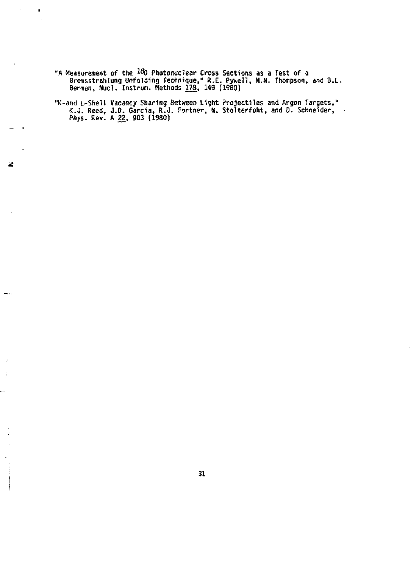**"A Measurement of the i^O Photonuclear Cross Sections as a Test of a Bremsstrahlung Unfolding Technique," R.E. Pywell, M.N. Thompson, and B.L. Berman, Nucl. Instruro. Methods 178. M 9 (1980)** 

'n,

 $\mathbf{u}$ 

2

 $-\cdot$ 

 $\ddot{\cdot}$ 

**"tc-and L-Shell Vacancy Sharing Between Light Projectiles and Argon Targets," K.O. Reed, J.D. Garcia, ft.J. Fortner, rj, StoUerfoht, and D. Schneider, Phys. Rev. A 22, 903 (1980)**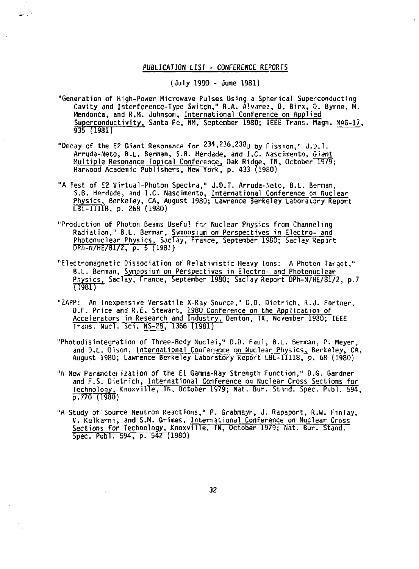## **PUBLICATION LIST - CONFERENCE REPORTS**

ا جائے

**(July 1980 - June 1981)** 

- **"Generation of High-Power Microwave Pulses Using a Spherical Superconducting Cavity and Interference-Type Switch," R.A. Alvarez, 0, Birx, 0. Byrne, H. Mendonca, and R.M. Johnson, International Conference on Applied Superconductivity, Santa Fe, NM, September 1980; IEEE Trans. Magn. MAG-17, 935 {1981)**
- **"Decay of the E2 Giant Resonance for 234,236,238u by Fission," J.D.T. Arruda-Neto, B.L. Bennan, S.B. Herdade, and I.C. Nascimento, Giant Multiple Resonance Topical Conference, Oak Ridge, TN, October 1979; Harwood Academic Publishers, New York, p. 433 (1980)**
- **"A Test of E2 Virtual-Photon Spectra," J.D.T. Arruda-Neto, B.L. Berman, S.B. Herdade, and I.C. Nascimento, International Conference on Nuclear Physics, Berkeley, CA, August 1980; Lawrence Berkeley Laboratory Report LBL-11118, p. 268 (1980)**
- **"Production of Photon Beams Useful for Nuclear Physics from Channeling Radiation," B.L. Bermar, Symposium on Perspectives in Electro- and Photonuclear Physics, S.\clay, France, September 1980; Saclay Report DPh-N/HE/81/2, p. 5 (198.')**
- **"Electromagnetic Dissociation of Relativistic Heavy Ions: A Photon Target," B.L. Berman, Symposium on Perspectives in Electro- and Photonuclear Physics, Saclay, France, September 1980; Saclay Report DPh-N/HE/81/2, p.7 TJ981) "**
- **"ZAPP: An Inexpensive Versatile X-Ray Source," D.O. Dietrich, R.J. Fortner, O.F. Price and R.E. Stewart, 1960 Conference on the Application of Accelerators in Research and Industry, Denton, TX, November 1980; IEEE Trans. Nucl. Sci. NS-28, 1366 (1981)**
- **"Photodisintegration of Three-Body Nuclei," D.D. Paul, B.L. Berman, P. Meyer, and O.L. Olson, International Conference on Nuclear Physics, Berkeley, CA, August 1980; Lawrence Berkeley Laboratory Report LBL-11118, p. 68 (1980)**
- **"A New Parameter ization of the El Garnna-Ray Strength Function," D.G. Gardner and F.S. Dietrich, International Conference on Nuclear Cross Sections for Technology, Knoxville, TN, October 1979; Nat. Bur. Sfind. Spec. Publ. 594, p.770 (1980)**
- **"A Study o f Source Neutron Reactions," P. Grabmayr, J. Rapaport, R.W. Finlay, V. Kulkarni, and S.M. Grimes, International Conference on Nuclear Cross Sections** *for* **Technology, Knoxville, TN, October 1979; Nat. Bur. Stand. Spec. Publ. 594, p. 542 (1980)**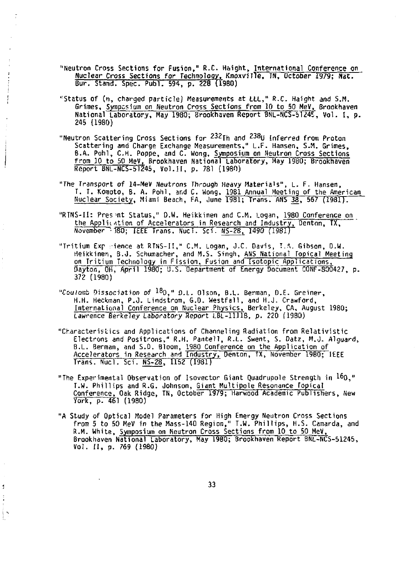- **"Neutron Cross Sections for Fusion," R.C. Haight, international Conference on Nuclear Cross Sections for Technology, KnoxviJle, TN, October 1979; Nat. Bur. Stand. Spec. Publ. 594, p. 228 (1980)**
- **''Status of (n, charged particle) Measurements at LLL," R.C. Haight and S.H. Grimes, Symposium on Neutron Cross Sections from 10 to 50 MeV, Brookhaven National Laboratory, Hay 1980; Brookhaven Report 8NL-NCS-5124E, Vol. I, p. 245 (1980)**
- "Neutron Scattering Cross Sections for 232<sub>Th and</sub> 238U Inferred from Proton **Scattering and Charge Exchange Measurements," L.F. Hansen, S.M. Grimes, B.A. Pohl, C.H. Poppe, and C. Wong, Symposium on Neutron Cross Sections from 10 to 50 MeV, Brookhaven National Laboratory, May 1980; Brookhaven Report BNL-NCS-51245, Vol.11, p. 781 (1980)**
- **"The Transport of 14-MeV Neutrons Through Heavy Materials", L, F. Hansen, T. T. Komoto, B. A. Pohl, and C. Wong, 1981 Annual Meeting of the American Nuclear Society, Miami Beach, FA, June 1981; Trans. ANS 38, 567 (1981).**
- **"RTNS-II: Present Status," D.W. Heikkinen and CM . Logan, 1980 Conference on the Applintion of Accelerators in Research and Industry, Denton, TX, November 'OSO; IEEE Trans. Nucl. Sci. NS-28, 1490 (1981)**
- **"Tritium Exp -ience at RTNS-I!," CM . Logan, J.C. Davis, T.A. Gibson, D.W. Heikkinen, B.J. Schumacher, and M.S. Singh, ANS National Topical Meeting on Tritium Technology in Fission, Fusion and Isotopic Applications, Dayton, OH, April 1980; U.S. Department of Energy Document CONF-800427, p. 372 (1980)**
- *"Ccrulasb* **Dissociation of <sup>18</sup> 0 , " D.L. Olson, B.L. Berman, D.E. Greiner, H.H. Heckman, P.J. Lindstrom, G.D. Westfall, and H.J. Crawford, International Conference on Nuclear Physics, Berkeley, CA, August 1980; Lawrence Berkeley Laboratory Report LBL-11118, p. 220 (1980)**
- **"Characteristics and Applications of Channeling Radiation from Relativistic Electrons and Positrons," R.H. Pantell, R.L. Swent, S. Datz, M.o. Alguard, B.L. Berman, and S.D. Bloom, 1980 Conference on the Application of Accelerators in Research and Industry, Denton, TX, November 1980; IEEE Trans. Nucl. Sci. NS-28, 1152 (1981)**
- **"The Experimental Observation of Isovector Giant Quadrupole Strength in 1&0," T.W. Phillips and R.G. Johnson, Giant Multipole Resonance Topical Conference, Oak Ridge, TN, October 1979; Harwood Academic Publishers, New York, p. 461 (1980)**
- **"A Study of Optical Model Parameters for High Energy Neutron Cross Sections from 5 to 50 MeV in the Mass-140 Region," T.W. Phillips, H.S. Camarda, and R.M. White, Symposium on Neutron Cross Sections from 10 to 50 MeV, Brookhaven National Laboratory, May 1980; Brookhaven Report BNL-NCS-51245, Vol. II, p. 769 (1980)**

ţ

ìк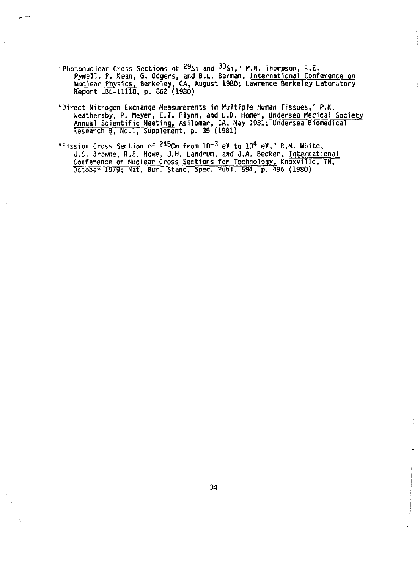- **"Photonuclear Cross Sections of <sup>29</sup> S i and <sup>30</sup> Si, " M.N. Thompson, R.E. Pywell, P. Kean, G. Odgers, and B.L. Berman, international Conference on Nuclear Physics, Berkeley, CA, August 1980; Lawrence Berkeley Laboratory Report LBL-11118, p. 862 (1980)**
- **"Direct Nitrogen Exchange Measurements in Multiple Human Tissues," P.K. Weathersby, P. Meyer, E.T. flynn, and L.D. Homer, Undersea Medical Society Annual Scientific Meeting, Asilomar, CA, May 1981; Undersea Biomedical Research 3, No.l, Supplement, p. 35 (1981)**
- **"Fission Cross Section of <sup>245</sup> C m from 10-3<sup>e</sup> y to 10\* eV," R.M. White, J.C. Browne, R.E. Howe, J.H. Landrum, and J.A. Becker, International Conference on Nuclear Cross Sections for Technology, Knoxville, TN, October 1979; Nat. Bur. Stand. Spec. Publ. 594, p. 496 (1980)**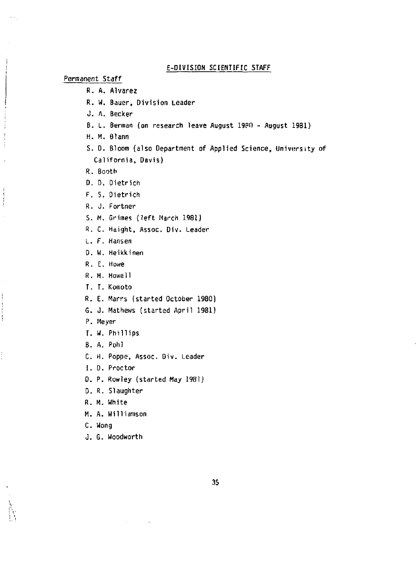## **E-DIV1SI0N SCIENTIFIC STAFF**

**Permanent Staff** 

- **R. A. Alvarez**
- **R. U. Bauer, Division Leader**
- **J. A. Becker**
- **B. L. Berman (on research leave August 1980 August 1931)**
- **H. M. eiann**
- **S. D. Bloom (also Department of Applied Science, University of California, Davis)**
- **R. Booth**
- **D, D. Dietrich**
- **F. S. Dietrich**
- **R. J. Fortner**
- **5. H. Grimes (left March 1981)**
- **R. C. Haight, Assoc. Div. Leader**
- **L. F. Hansen**
- **D. W. Heikkinen**
- **R. E. Howe**
- **R. H. Howell**
- **T. T. Komoto**
- **R. E. Marrs (started October 1980)**
- **6. J. Mathews (started April 1981)**
- **P. Meyer**

į Ì ţ

- **T. W. Phillips**
- **B. A. Pohl**
- **C. H. Poppe, Assoc. Div. Leader**
- **I. D. Proctor**
- **D. P. Rowley (started May 1981)**
- **D. R. Slaughter**
- **R. M. White**
- **M. A. Williamson**
- **C. Wong**
- **J. G. Woodworth**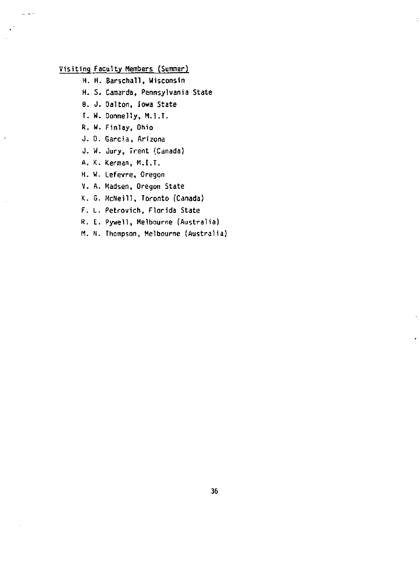## **Visiting Faculty Members (Summer)**

المرضات

- **H. H. Barschall, Wisconsin**
- **H. S. Caraarda, Pennsylvania State**
- **6. J. Oalton, Iowa State**
- **r. W. Donnelly, M.I.T.**
- **R. W. Finlay, Ohio**
- **J. 0. Garcia, Arizona**
- **J. W. Jury, Trent {Canada)**
- **A. K. Kennan, M.I.T.**
- **H. W. Lefevre, Oregon**
- **V. A. Madsen, Oregon State**
- **K. 6. McNeill, Toronto (Canada)**
- **F. L. Petrovich, Florida State**
- **R. E. Pywell, Melbourne (Australia)**
- **M. N. Thompson, Melbourne (Australia)**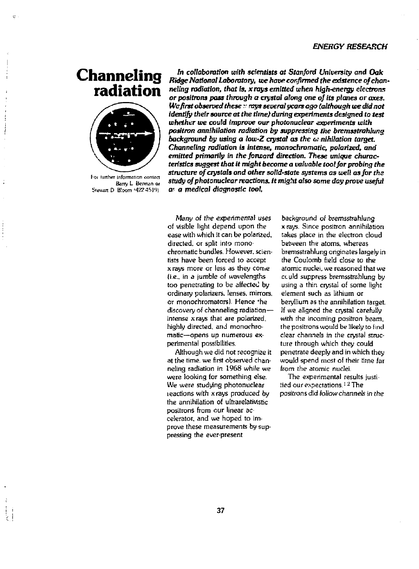## *ENERGY RESEARCH*

# **Channeling radiation**



[-oi lunher information contact Bany L Bennan *at*  Stewart D. Bloom (422-4519).

*In collaboration with scientists at Stanford University and Oak Ridge National Laboratory, we have confirmed the existence of channeling radiation, that is, xrays emitted when high-energy electrons or positrons pass through a crystal along one of its planes or axes. Wcfirst observed these r rays several years ago (although tee did not identify their* **source** *at the time} during experiments designed to test whether we could improve our photonuclear experiments with positron annihilation radiation by suppressing the bremsstrahlung*  background by using a low-Z crystal as the *annihilation target*. *Channeling radiation is intense, monochromatic, polarized, and*  emitted primarily in the forward direction. These unique charac*teristics suggest that It might become a valuable tool far probing the structure of crystals and other solid-state systems as well as for the study of photonuclear reactions. It might also some day prove useful or a medical diagnostic tool.* 

**Many of** *the experimental uses*  of visible light depend upon the ease with which it can be polarized, directed, or split into monochromatic bundles. However, scientists have been forced to accept xrays more or less as they come (i.e.. in a jumble of wavelengths too penetrating to be affected by ordinary polarizers. lenses, mirrors, or monochromators). Hence \*he discovery of channeling radiation intense xrays that are polarized, highly directed, and monochromatic—opens up numerous experimental possibilities.

Although we did not recognize it at the time, we first observed channeling radiation in 1968 while we were looking for something else. We were studying photonuclear reactions with xrays produced by the annihilation of ultrarelativistic positrons from our linear ac celerator, and we hoped to improve these measurements by suppressing the ever-present

background of bremsstrahlung x rays, Since positron annihilation takes place in the electron cloud between the atoms, whereas bremsstrahlung originates largely in the Coulomb field close to the atomic nuclei, we reasoned that we cculd suppress bremsstrshlung by using a thin crystal of some light element such as lithium or beryllium as the annihilation target. If we aligned the crystal carefully with the incoming positron beam, the positrons would be likely to find clear channels in the crystal structure through which they could penetrate deeply and in which they would spend most of their time far from the atomic nuclei.

The experimental results justiiied our expectations. <sup>1,2</sup> The positrons *did follow* channels in the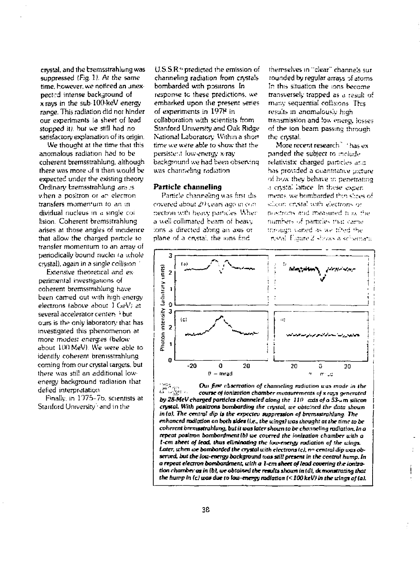crystal, and the bremsstrahlung was suppressed (Fig. 1). At the same time, however, we noticed an unexpectrd intense background of  $x$  rays in the sub- $100$  keV energy range. This radiation did not hinder our experiments la sheet of lead stopped *ill. but* we still had no satisfactory explanation of its origin.

We thought at the time that this anomalous radiation had to be coherent bremsstrahlung. although there was more of it than would be expected under the existing theory Ordinary bremsstrahlung aris 25 when a positron or an electron transfers momen'um to an m dividual nucleus in a single col lision. Coherent bremsstrahlung arises at those angles of incidence that allow the charged particle to transfer momentum to an array of periodically bound nuclei fa whole crystal), again in a single collision

Extensive theoretical and ex perimental investigations of coherent bremsstrahlung have been earned out w.th high energy electrons labove about ) GeV; at several accelerator centers <sup>+</sup> but ours is the only laboratory that has investigated this phenomenon at more modes: energies (below about 100 MeV). We were able to identify coherent bremsstmhlung coming from our crystal targets, but there was still an additional low energy background radiation that defied interpretation

Finally, in I1)75-7b. scientists at Stanford University • and in the

U.S.S.R.'' predicted the emission of channeling radiation from crystals bombarded with positrons In response tc these predictions, we embarked upon the present series of experiments in 1978 in collaboration w:th scientists from Stanford University and Oak Ridge National laboratory Within a short time we were able to show that the persistent fow-energy x-ray background we had been observinq was channeling radiation

## **Particle channeling**

Particle channeling was first dis covered about 20 years ago in conriection with heavy particles. When a ueii collimated beam of heaiy ions is directed along an axis or plane of a crystal, the ions find

themselves in "clear" channels sur rounded by regular arrays of atoms In this situation the ions become transversely trapped as a result of many sequential collisions This results in anomalously high transmission and low energy losses of thp ton beam passing through the crystal-

More recent research" ' has ex panded the subject ro include relativistic charged particles ar.s has provided a Quantitative picture of how they behave :r. penetrating .; crystal lattice In these e.xper. men:?, we bombarded th:n slices of silicon cristal with electrons or pustrons and measured time the number- of particle- via: cane through varied as we tified the riveral. Figure *Z* -fi/sus a schematic



*PA<sub>C</sub>***<sub>***n***</sub> Oui first abservation of channeling radiation was made in the Course of tonization chamber measurements of x rays generated** *^ ~~Q-* **'- course** *of ionization chamber measurements of x rays generated by 28-MeV charged particles channeled along the*  $110$  *axis of a* 53- $\mu$ m silicon **cryMel. With** *positrons bombarding the crystal, ice* **obtained** *the data shoicn* **I**  *in (at.* **The centra/** *dip is the expectev suppression of bremsstrahlung The enhanced radiation on* **both** *sides* **(i.e.,** *the icings! una thought at the time to be*  **coherent** *bremsstrahlung. but it was later thoun to be channeling radiation. In a repeat positron bombardment lb) we covered the Ionization chamber with a 1-cm sheet of lead, thus eliminating the low-energy radiation of the wings. Later, ichen we bombarded the crystal* **icith** *electrons (cl. rrn central dip uos observed, out the lots-energy* **background** *teas still present* **in the centra\*** *hump. In a repeat electron bombardment, iclth a l-cm sheet of lead covering tte ionization chambei- as In [bt. we obtained the results* **ihoun in** *Id), demonstrating that*  **the** *hump In (cl was* **due** *to low-energy radiation << lOOkeV) in the icings of (ah*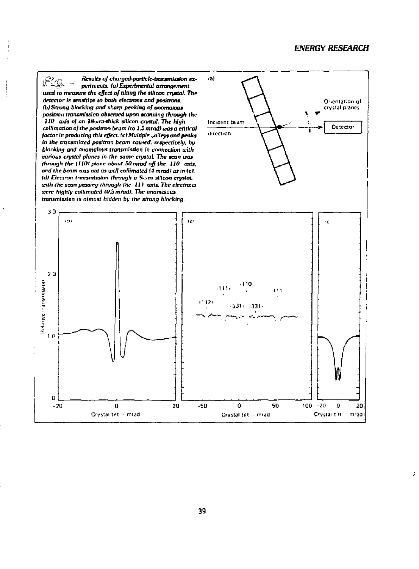ÿ.

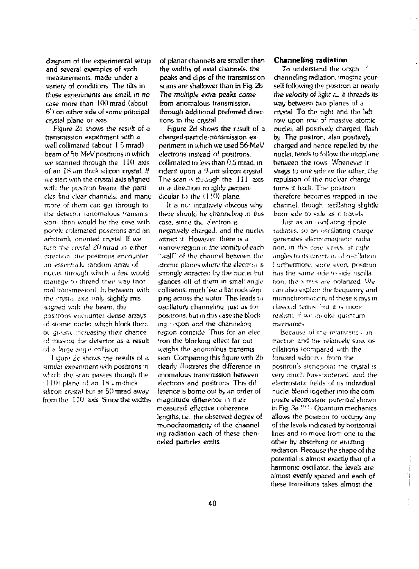diagram of the experimental set'jp and several examples of such measurements, made under a variety of conditions. The tilts in these exnertments are smaif. *in* no case more than 100 mrad (about 6") on either side of some principal crystal plane or axis

Figure 2b shows the result of a transmission experiment with *a*  well collimated (about 1.5 mrad) beam of 56 MeV positrons in which we scanned through the 11(1 axis of an  $18 \mu m$  thick silicon crystal, If we star with the crystal axis aligned with the positron beam, the particles find clear channels, and many more of ihem can get through to ihe detector (anomalous •"•ansrnis son; than would be the case with ponriv collimated positrons and an arbitrank. oriented crystal If we turn the crystal 20 mrad in either direction, the positrons encounter ,in esser.iioik random array of nude: through which a few would manage *:n* ihread iheir way (nor mal transmission). In between, with the cryst.:i axis only slightly misliiynec wiih ihe beam, the positrons encounter dense arrays of atomic nuclei, which block then. be gr.'ttin, iartic, write them them. of givany attreasing their character of missing the detector as a result<br>of a large angle collision

I igure *2c* shows the results of a similar expeniment with positrons in which the scan passes though the  $(110)$  plane of an  $18 \mu m$  thick silicon crysial but at 50 mrad away. from the 110 axis Since the widths of planar channels are smaller than the widths of axial channels, the peaks and dips of the transmission scans are shallower **than** in Fig. 2b **The** mulripte extra peaks *came*  from anomalous transmissior, through additional preferred direc lions in the crystal

Figure 2d shows the result of a charged particle transmission experiment in which we used 56-MeV electrons instead of positrons, collimated lo less ihan 0.5 mrad. in cident upon a *') jm* silicon crystal. The scan is through the 111 axis in a direction ro jghly perpen dicular to the  $(1!0)$  plane.

It is no" intuitively obvious why (here should be channeling in ibis case, since the electron is negalively charged, and the nuclei attract it. However, there is a narrow region in (he vicinity of each "wall" of the chanrel between the atomic planes where the electron is strongly attracted by the nuclei but glances off of them in small angle collisions, much like a flat rock skip ping across the water This leads to oscillatory channeling just as lor positrons, bul in this case the block mg • qion and the channeling region coincide Thus for an elec 'ran the blocking effect far out weighs the anomalous transmis sion Comparing this figure with 2b clearly illustrates the difference in anomalous transmission between electrons and positrons This dif ference is borne out by an order of magnitude difference in their measured effective coherence lengths, i.e.. the observed degree of monochromaticity of the channel ing radiation each of these chan neled particles emits.

## **Channeling radiation**

To understand the ongm .' channeling radiation, imagine your self following the positron at nearly *the velocity of light*  $\approx$  *A* threads its way between two planes of *a*  crystal To the righ! and the left, row upon row of massive atomic nuclei, all positively charged, flash by The positron, also positively charged and hence repelled by the nuclei, tends !o follow Ihe midplane between the rows Whenever it strays to one side *or* the other, the repulsion of the nuclear charge turns it back. The positron therefore becomes trapped in ihe channel, though, iscillating slightly from side to side as it travels.

lust as an oscillating dipole radiates, so an oscillating charge generates electromagnetir radia tion, in this case x rays, at right angles to its direction of oscillation. Furthermore, since even, positron has Ihe same snie *'<•* side uscilla tion, the x rays are polanzed. We can also explain the frequency and monochromatiritv of these x rays in classical tenns but it is more realism, if we .moke quantum mechanics

Because of the relativistic  $\epsilon$  on traction and the relanvely slow os cillations (compared with the forward velocity), from the positron's standpoint the crystal is very much foreshortened and the electrostatic fields of its individual nuclei blend legether into ihe com posife electrostatic potential shown in Fig. 3a '•" ] *'•* Quantum mechanics allows the positron to occupy any of the levels indicated by horizontal lines and to move from one to the other by absorbing or emitting radiation Because the shape of the potential is almost exactly that of a harmonic oscillator, the levels are almost evenly spaced and each of these transitions takes almost the

 $\frac{1}{1}$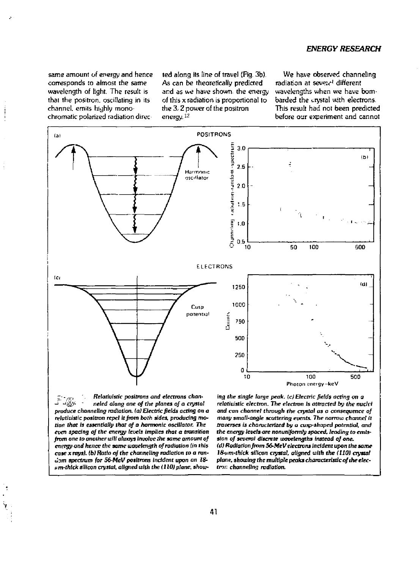## *ENERGY RESEARCH*

same amount of energy and hence corresponds to almost the same wavelength of light. The result is that the positron, oscillating in its channel, emits highly monochromatic polarized radiation direc

ted along its line of travel (Fig. 3b) As can be theoretically predicted and as we have shown, the energy of this x radiation is proportional to the 3,2 power of the positron energy. <sup>1</sup> -

We have observed channeling radiation at severe<sup>1</sup> different wavelengths when we have bombarded the crystal with electrons. This result had not been predicted before oar experiment and cannot



*neled along one of the planes of a crystal produce channeling radiation, la) Electric fields acting on a relativistic positron repel it from both sides, producing motion that Is essentially that of a harmonic oscillator. The even spacing of the energy levels implies that a transition from one to another will always involve the same amount of energy and hence the same uxivelength of radiation tin this case x rays), (b) Ratio of the channeling* radiation *to a* ronu'om *spectrum (or 56-MeV positrons incident upon an 18 iim-thlck silicon crystal, aligned with the i 110) plane, show* 

*relativistic electron. The electron is attracted by the nuclei and can channel* through *the crystal as a consequence of many small-angle scattering events. The narrow channel it traverses is characterized by a cusp-shaped potential, and the energy levels are nonuniformly spaced, leading to emis*sion of several discrete wavelengths instead of one. *(d) Radiation from 56-MeV electrons* incident upon the same *18-iim-thick silicon crystal, aligned tcith the (110) crystal plane, showing the multiple peaks characteristic of the electron channeling radiation.*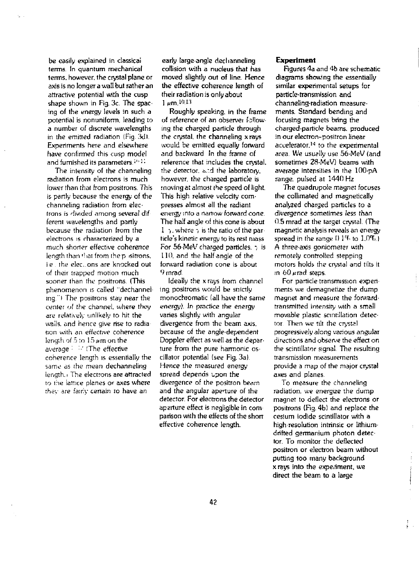be easily explained in classical terms. In quantum mechanical terms, however, the crystal plane or axis is no longer a wall but rather an attractive potential with the cusp shape shown in Fig. 3c. The spacing of the energy levels in such a potential is nonuniform, leading to a number of discrete wavelengths in the emitted radiation (Fig. 3di. Experiments here and elsewhere have confirmed this cusp model and furnished its parameters.<sup>1011</sup>

The intensity of the channeling radiation from electrons is much lower than that from positrons. This is partly because the energy of the channeling radiation from electrons is divided among several dif ferent wavelengths and partly because the radiation from the electrons is characterized by a much shorter effective coherence length than that from the p-sitrons. i.e., the elections are knocked out of their trapped motion much sooner than the positrons. (This phenomenon is called "dechannei ing "I The positrons stay near the center of the channel, where they are relatively unlikely to hit the walls, and hence give rise to radia non with an effective coherence length of 5 to 15 **µm** on the average restricts to the effective coherence length is essentially the same as the mean dechanneling length, i The electrons are attracted to the lattice planes or axes where the'.- *are* fairry certain to have an

early large-angle dechanneling collision with a nucleus that has moved slightly out of line. Hence the effective coherence length of their radiation is only about  $1 \mu m$ ,  $10.13$ 

Roughly speaking, in the frame of reference of an observer following the charged particle through the crystal, the channeling xrays would be emitted equally forward and backward In the frame of reference that includes the crystal. the detector, and the laboratory, however, the charged particle is moving at almost the speed of light. This high relative velocity compresses almost all the radiant energy into a narrow forward cone. The half angle of this cone is about 1  $\gamma$ , where  $\gamma$  is the ratio of the partide's kinetic energy to its rest mass For  $56$ -MeV charged particles.  $\frac{1}{2}$  is 110. and the half angle of the forward radiation cone is about 9mrad

Ideally the x rays from channel ing positrons would be strictly monochromatic (all have the same energy). In practice the energy varies slightly with angular divergence from the beam axis, because of the angle-dependenl Doppler effect as well as the depar ture from the pure harmonic oscillator potential (see Fig. 3a) Hence the measured energy spread depends upon the divergence of the positron beam and the angular apenure of the detector. For electrons the detector aperture effect is negligible in com parison with the effects of the short effective coherence length.

#### **Experiment**

Figures 4a and 4b are schematic diagrams showing the essentially similar experimental setups for particle-transmission and channeling-radiation measurements. Standard bending and focusing magnets bring the charged-partide beams, produced in our electron-positron linear accelerator.<sup>14</sup> to the experimental area. We usually use 56-MeV (and sometimes 28-MeV) beams with average intensities in the 100-pA range, pulsed at 1440 Hz

The quadrupole magnet focuses the collimated and magnetically analyzed charged particles to a divergence sometimes less than 0.5 mrad at the target crystal. (The magnetic analysis reveals an energy spread in the range 1) *1%* to 1.0%. I A three-axis goniometer with remotely controlled stepping motors holds the crystal and tilts it in  $60 \mu$ rad steps.

For particle transmission expert ments we demagnetize the dump magnet and measure the forwardtransmitted intensity with a small movable plastic scintillation detector Then we tilt the crystal progressively along various angular directions and observe the effect on the scintillator signal. The resulting transmission measurements provide a map of the major crystal axes and planes

To measure the channeling radiation, we energize the dump magnet to deflect the electrons or positrons (Fig. 4b) and replace the cesium iodide scintillator with a high resolution intrinsic or lithiumdrifted germanium photon detector. To monitor the deflected positron or electron beam without putting too many background x rays into the experiment, we direct the beam to a large

 $\pm$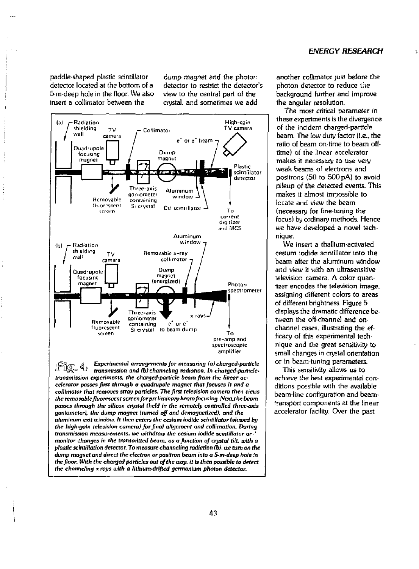paddle-shaped plastic scintillator detector located at the bottom of a 5-m-deep hole in the floor. We also insert a collimator between the

dump magnet and the photordetector to restrict the detector's view to the central part of the crystal, and sometimes we add



**Ss^ \_ £** *Experimental arrangements for measuring (a) charged'particle*  transmission and (b) channeling radiation. In charged-particle*transmission experiments, the charged-particle beam from the linear accelerator passes first through a quadrupate magnet that focuses it and a collimator that removes stray particles. The first television camera then views the removablefluorescent screenforpreliminary beam focusing. Nexuthe beam passes through the silicon crystal (held in the remotely controlled three-aids goniometer), the dump magnet (turned off ond demagnetized), and the aluminum* **exit** *window. It then enters the cesium iodide scintillator (viewed by the high-gain television camera) for final alignment and collfmation. During transmission measurements, we withdraw the cesium iodide scintillator* or*monitor changes In the transmitted beam, as a function of crystal tilt with a plastic scintillation detector. To measure channeling radiation (b). we* **rum** *on the dump magnet and direct the electron or positron beam into a 5-m-deep hole in the floor. With the charged particles out of the way. it* **fs then possible** *to detect the channeling x rays with a lithium-drifted germanium photon detector.* 

another collimator just before the photon detector to reduce the background further and improve the angular resolution.

The most critical parameter in these experiments is the divergence of the incident charged-particle beam. The low duty factor (i.e., the ratio of beam on-time to beam offtime) of the linear accelerator makes it necessary to use very weak beams of electrons and positrons (50 to 500 pA) to avoid pileup of the detected events. This makes it almost impossible to locate and view the beam (necessary for fine-tuning the focus) by ordinary methods. Hence we have developed a novel technique.

We insert a thallium-activated cesium iodide scintillator into the beam after the aluminum window and view it with an ultrasensitive television camera. A color quantizer encodes the television image, assigning different colors to areas of different brightness. Figure 5 displays the dramatic difference between the off channel and onchannel cases, illustrating the efficacy of this experimental technique and the great sensitivity to small changes in crystal orientation or in beam-tuning parameters.

This sensitivity allows us to achieve the best experimental conditions possible with the available beam-line configuration and beamtransport components at the linear accelerator facility. Over the past